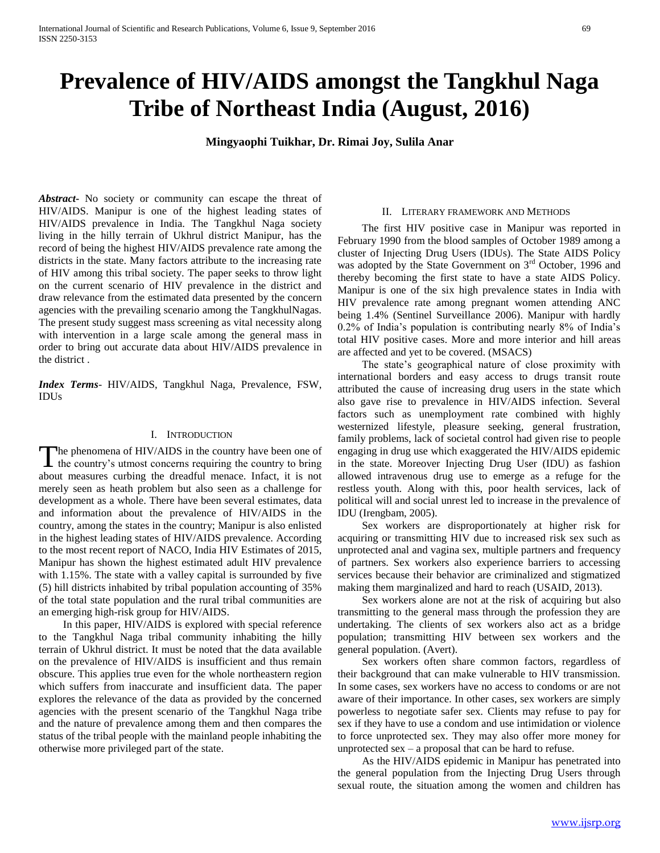# **Prevalence of HIV/AIDS amongst the Tangkhul Naga Tribe of Northeast India (August, 2016)**

**Mingyaophi Tuikhar, Dr. Rimai Joy, Sulila Anar**

*Abstract***-** No society or community can escape the threat of HIV/AIDS. Manipur is one of the highest leading states of HIV/AIDS prevalence in India. The Tangkhul Naga society living in the hilly terrain of Ukhrul district Manipur, has the record of being the highest HIV/AIDS prevalence rate among the districts in the state. Many factors attribute to the increasing rate of HIV among this tribal society. The paper seeks to throw light on the current scenario of HIV prevalence in the district and draw relevance from the estimated data presented by the concern agencies with the prevailing scenario among the TangkhulNagas. The present study suggest mass screening as vital necessity along with intervention in a large scale among the general mass in order to bring out accurate data about HIV/AIDS prevalence in the district .

*Index Terms*- HIV/AIDS, Tangkhul Naga, Prevalence, FSW, IDUs

### I. INTRODUCTION

he phenomena of HIV/AIDS in the country have been one of The phenomena of HIV/AIDS in the country have been one of the country's utmost concerns requiring the country to bring about measures curbing the dreadful menace. Infact, it is not merely seen as heath problem but also seen as a challenge for development as a whole. There have been several estimates, data and information about the prevalence of HIV/AIDS in the country, among the states in the country; Manipur is also enlisted in the highest leading states of HIV/AIDS prevalence. According to the most recent report of NACO, India HIV Estimates of 2015, Manipur has shown the highest estimated adult HIV prevalence with 1.15%. The state with a valley capital is surrounded by five (5) hill districts inhabited by tribal population accounting of 35% of the total state population and the rural tribal communities are an emerging high-risk group for HIV/AIDS.

 In this paper, HIV/AIDS is explored with special reference to the Tangkhul Naga tribal community inhabiting the hilly terrain of Ukhrul district. It must be noted that the data available on the prevalence of HIV/AIDS is insufficient and thus remain obscure. This applies true even for the whole northeastern region which suffers from inaccurate and insufficient data. The paper explores the relevance of the data as provided by the concerned agencies with the present scenario of the Tangkhul Naga tribe and the nature of prevalence among them and then compares the status of the tribal people with the mainland people inhabiting the otherwise more privileged part of the state.

## II. LITERARY FRAMEWORK AND METHODS

 The first HIV positive case in Manipur was reported in February 1990 from the blood samples of October 1989 among a cluster of Injecting Drug Users (IDUs). The State AIDS Policy was adopted by the State Government on 3<sup>rd</sup> October, 1996 and thereby becoming the first state to have a state AIDS Policy. Manipur is one of the six high prevalence states in India with HIV prevalence rate among pregnant women attending ANC being 1.4% (Sentinel Surveillance 2006). Manipur with hardly 0.2% of India's population is contributing nearly 8% of India's total HIV positive cases. More and more interior and hill areas are affected and yet to be covered. (MSACS)

 The state's geographical nature of close proximity with international borders and easy access to drugs transit route attributed the cause of increasing drug users in the state which also gave rise to prevalence in HIV/AIDS infection. Several factors such as unemployment rate combined with highly westernized lifestyle, pleasure seeking, general frustration, family problems, lack of societal control had given rise to people engaging in drug use which exaggerated the HIV/AIDS epidemic in the state. Moreover Injecting Drug User (IDU) as fashion allowed intravenous drug use to emerge as a refuge for the restless youth. Along with this, poor health services, lack of political will and social unrest led to increase in the prevalence of IDU (Irengbam, 2005).

 Sex workers are disproportionately at higher risk for acquiring or transmitting HIV due to increased risk sex such as unprotected anal and vagina sex, multiple partners and frequency of partners. Sex workers also experience barriers to accessing services because their behavior are criminalized and stigmatized making them marginalized and hard to reach (USAID, 2013).

 Sex workers alone are not at the risk of acquiring but also transmitting to the general mass through the profession they are undertaking. The clients of sex workers also act as a bridge population; transmitting HIV between sex workers and the general population. (Avert).

 Sex workers often share common factors, regardless of their background that can make vulnerable to HIV transmission. In some cases, sex workers have no access to condoms or are not aware of their importance. In other cases, sex workers are simply powerless to negotiate safer sex. Clients may refuse to pay for sex if they have to use a condom and use intimidation or violence to force unprotected sex. They may also offer more money for unprotected sex – a proposal that can be hard to refuse.

 As the HIV/AIDS epidemic in Manipur has penetrated into the general population from the Injecting Drug Users through sexual route, the situation among the women and children has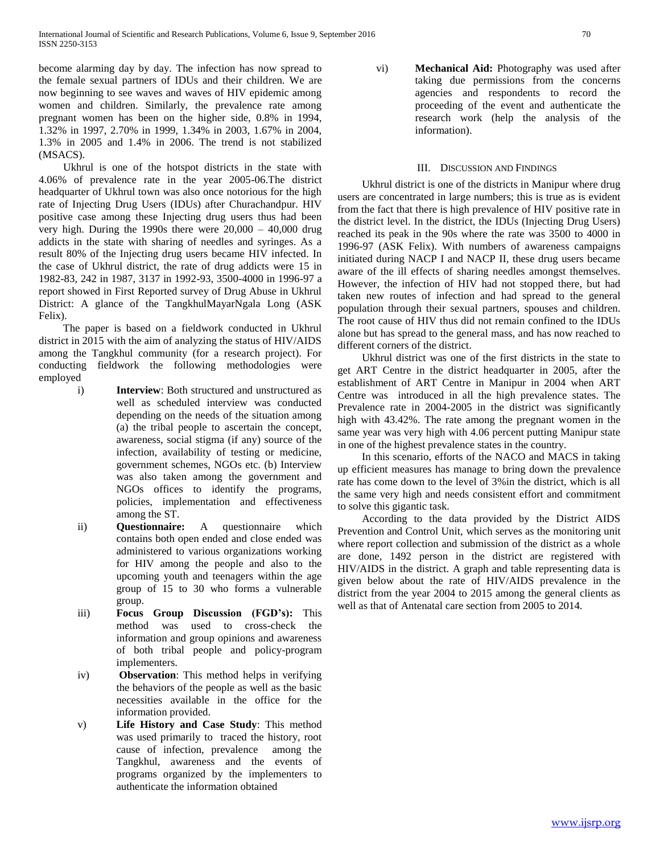become alarming day by day. The infection has now spread to the female sexual partners of IDUs and their children. We are now beginning to see waves and waves of HIV epidemic among women and children. Similarly, the prevalence rate among pregnant women has been on the higher side, 0.8% in 1994, 1.32% in 1997, 2.70% in 1999, 1.34% in 2003, 1.67% in 2004, 1.3% in 2005 and 1.4% in 2006. The trend is not stabilized (MSACS).

 Ukhrul is one of the hotspot districts in the state with 4.06% of prevalence rate in the year 2005-06.The district headquarter of Ukhrul town was also once notorious for the high rate of Injecting Drug Users (IDUs) after Churachandpur. HIV positive case among these Injecting drug users thus had been very high. During the 1990s there were 20,000 – 40,000 drug addicts in the state with sharing of needles and syringes. As a result 80% of the Injecting drug users became HIV infected. In the case of Ukhrul district, the rate of drug addicts were 15 in 1982-83, 242 in 1987, 3137 in 1992-93, 3500-4000 in 1996-97 a report showed in First Reported survey of Drug Abuse in Ukhrul District: A glance of the TangkhulMayarNgala Long (ASK Felix).

 The paper is based on a fieldwork conducted in Ukhrul district in 2015 with the aim of analyzing the status of HIV/AIDS among the Tangkhul community (for a research project). For conducting fieldwork the following methodologies were employed

- i) **Interview**: Both structured and unstructured as well as scheduled interview was conducted depending on the needs of the situation among (a) the tribal people to ascertain the concept, awareness, social stigma (if any) source of the infection, availability of testing or medicine, government schemes, NGOs etc. (b) Interview was also taken among the government and NGOs offices to identify the programs, policies, implementation and effectiveness among the ST.
- ii) **Questionnaire:** A questionnaire which contains both open ended and close ended was administered to various organizations working for HIV among the people and also to the upcoming youth and teenagers within the age group of 15 to 30 who forms a vulnerable group.
- iii) **Focus Group Discussion (FGD's):** This method was used to cross-check the information and group opinions and awareness of both tribal people and policy-program implementers.
- iv) **Observation**: This method helps in verifying the behaviors of the people as well as the basic necessities available in the office for the information provided.
- v) **Life History and Case Study**: This method was used primarily to traced the history, root cause of infection, prevalence among the Tangkhul, awareness and the events of programs organized by the implementers to authenticate the information obtained

vi) **Mechanical Aid:** Photography was used after taking due permissions from the concerns agencies and respondents to record the proceeding of the event and authenticate the research work (help the analysis of the information).

# III. DISCUSSION AND FINDINGS

 Ukhrul district is one of the districts in Manipur where drug users are concentrated in large numbers; this is true as is evident from the fact that there is high prevalence of HIV positive rate in the district level. In the district, the IDUs (Injecting Drug Users) reached its peak in the 90s where the rate was 3500 to 4000 in 1996-97 (ASK Felix). With numbers of awareness campaigns initiated during NACP I and NACP II, these drug users became aware of the ill effects of sharing needles amongst themselves. However, the infection of HIV had not stopped there, but had taken new routes of infection and had spread to the general population through their sexual partners, spouses and children. The root cause of HIV thus did not remain confined to the IDUs alone but has spread to the general mass, and has now reached to different corners of the district.

 Ukhrul district was one of the first districts in the state to get ART Centre in the district headquarter in 2005, after the establishment of ART Centre in Manipur in 2004 when ART Centre was introduced in all the high prevalence states. The Prevalence rate in 2004-2005 in the district was significantly high with 43.42%. The rate among the pregnant women in the same year was very high with 4.06 percent putting Manipur state in one of the highest prevalence states in the country.

 In this scenario, efforts of the NACO and MACS in taking up efficient measures has manage to bring down the prevalence rate has come down to the level of 3%in the district, which is all the same very high and needs consistent effort and commitment to solve this gigantic task.

 According to the data provided by the District AIDS Prevention and Control Unit, which serves as the monitoring unit where report collection and submission of the district as a whole are done, 1492 person in the district are registered with HIV/AIDS in the district. A graph and table representing data is given below about the rate of HIV/AIDS prevalence in the district from the year 2004 to 2015 among the general clients as well as that of Antenatal care section from 2005 to 2014.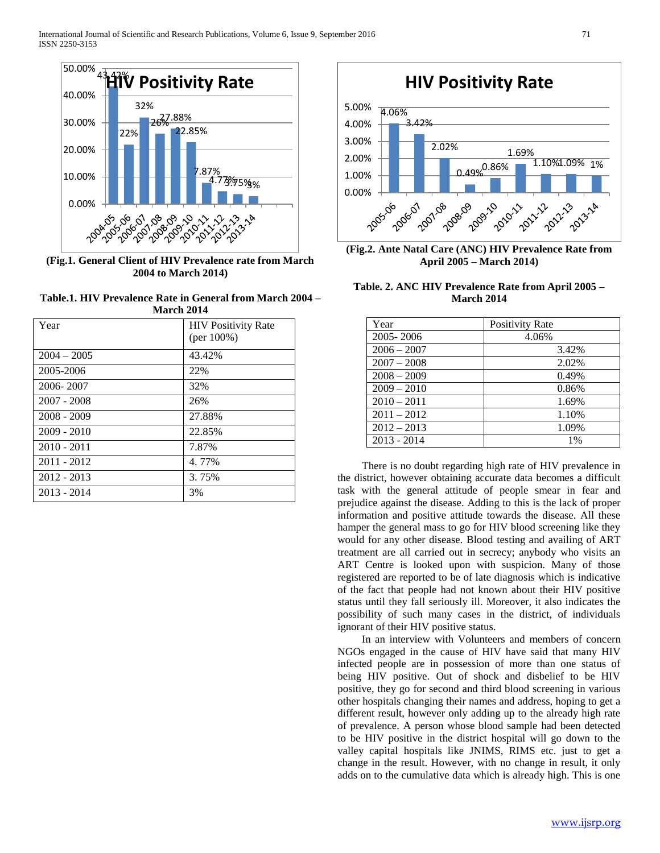

**(Fig.1. General Client of HIV Prevalence rate from March 2004 to March 2014)**

**Table.1. HIV Prevalence Rate in General from March 2004 – March 2014**

| 19141 CH 2014 |                                              |
|---------------|----------------------------------------------|
| Year          | <b>HIV Positivity Rate</b><br>(per $100\%$ ) |
| $2004 - 2005$ | 43.42%                                       |
| 2005-2006     | 22%                                          |
| 2006-2007     | 32%                                          |
| $2007 - 2008$ | 26%                                          |
| $2008 - 2009$ | 27.88%                                       |
| $2009 - 2010$ | 22.85%                                       |
| $2010 - 2011$ | 7.87%                                        |
| 2011 - 2012   | 4.77%                                        |
| $2012 - 2013$ | 3.75%                                        |
| $2013 - 2014$ | 3%                                           |



**(Fig.2. Ante Natal Care (ANC) HIV Prevalence Rate from April 2005 – March 2014)**

**Table. 2. ANC HIV Prevalence Rate from April 2005 – March 2014**

| Year          | <b>Positivity Rate</b> |
|---------------|------------------------|
| 2005-2006     | 4.06%                  |
| $2006 - 2007$ | 3.42%                  |
| $2007 - 2008$ | 2.02%                  |
| $2008 - 2009$ | 0.49%                  |
| $2009 - 2010$ | 0.86%                  |
| $2010 - 2011$ | 1.69%                  |
| $2011 - 2012$ | 1.10%                  |
| $2012 - 2013$ | 1.09%                  |
| $2013 - 2014$ | 1%                     |

 There is no doubt regarding high rate of HIV prevalence in the district, however obtaining accurate data becomes a difficult task with the general attitude of people smear in fear and prejudice against the disease. Adding to this is the lack of proper information and positive attitude towards the disease. All these hamper the general mass to go for HIV blood screening like they would for any other disease. Blood testing and availing of ART treatment are all carried out in secrecy; anybody who visits an ART Centre is looked upon with suspicion. Many of those registered are reported to be of late diagnosis which is indicative of the fact that people had not known about their HIV positive status until they fall seriously ill. Moreover, it also indicates the possibility of such many cases in the district, of individuals ignorant of their HIV positive status.

 In an interview with Volunteers and members of concern NGOs engaged in the cause of HIV have said that many HIV infected people are in possession of more than one status of being HIV positive. Out of shock and disbelief to be HIV positive, they go for second and third blood screening in various other hospitals changing their names and address, hoping to get a different result, however only adding up to the already high rate of prevalence. A person whose blood sample had been detected to be HIV positive in the district hospital will go down to the valley capital hospitals like JNIMS, RIMS etc. just to get a change in the result. However, with no change in result, it only adds on to the cumulative data which is already high. This is one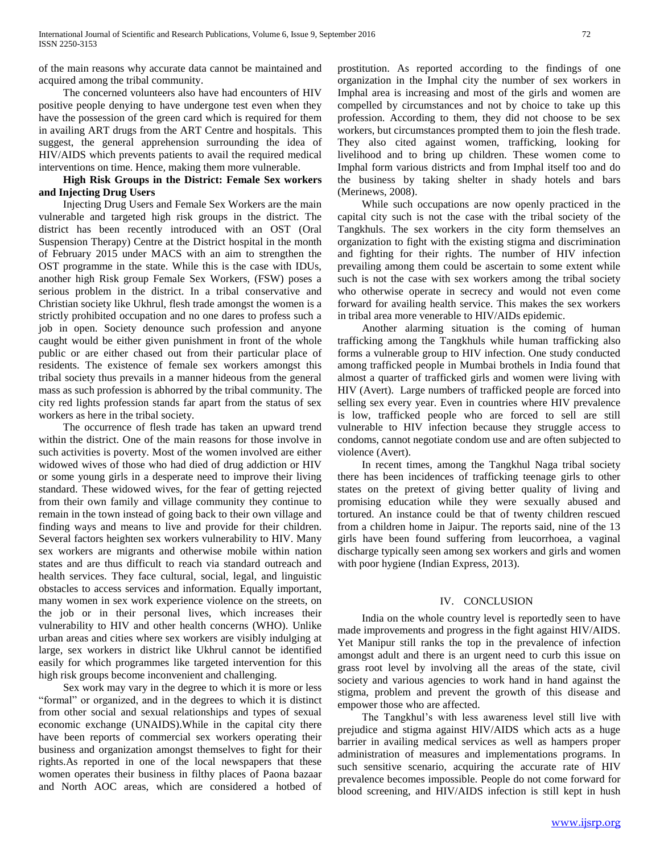of the main reasons why accurate data cannot be maintained and acquired among the tribal community.

 The concerned volunteers also have had encounters of HIV positive people denying to have undergone test even when they have the possession of the green card which is required for them in availing ART drugs from the ART Centre and hospitals. This suggest, the general apprehension surrounding the idea of HIV/AIDS which prevents patients to avail the required medical interventions on time. Hence, making them more vulnerable.

## **High Risk Groups in the District: Female Sex workers and Injecting Drug Users**

 Injecting Drug Users and Female Sex Workers are the main vulnerable and targeted high risk groups in the district. The district has been recently introduced with an OST (Oral Suspension Therapy) Centre at the District hospital in the month of February 2015 under MACS with an aim to strengthen the OST programme in the state. While this is the case with IDUs, another high Risk group Female Sex Workers, (FSW) poses a serious problem in the district. In a tribal conservative and Christian society like Ukhrul, flesh trade amongst the women is a strictly prohibited occupation and no one dares to profess such a job in open. Society denounce such profession and anyone caught would be either given punishment in front of the whole public or are either chased out from their particular place of residents. The existence of female sex workers amongst this tribal society thus prevails in a manner hideous from the general mass as such profession is abhorred by the tribal community. The city red lights profession stands far apart from the status of sex workers as here in the tribal society.

 The occurrence of flesh trade has taken an upward trend within the district. One of the main reasons for those involve in such activities is poverty. Most of the women involved are either widowed wives of those who had died of drug addiction or HIV or some young girls in a desperate need to improve their living standard. These widowed wives, for the fear of getting rejected from their own family and village community they continue to remain in the town instead of going back to their own village and finding ways and means to live and provide for their children. Several factors heighten sex workers vulnerability to HIV. Many sex workers are migrants and otherwise mobile within nation states and are thus difficult to reach via standard outreach and health services. They face cultural, social, legal, and linguistic obstacles to access services and information. Equally important, many women in sex work experience violence on the streets, on the job or in their personal lives, which increases their vulnerability to HIV and other health concerns (WHO). Unlike urban areas and cities where sex workers are visibly indulging at large, sex workers in district like Ukhrul cannot be identified easily for which programmes like targeted intervention for this high risk groups become inconvenient and challenging.

 Sex work may vary in the degree to which it is more or less "formal" or organized, and in the degrees to which it is distinct from other social and sexual relationships and types of sexual economic exchange (UNAIDS).While in the capital city there have been reports of commercial sex workers operating their business and organization amongst themselves to fight for their rights.As reported in one of the local newspapers that these women operates their business in filthy places of Paona bazaar and North AOC areas, which are considered a hotbed of

prostitution. As reported according to the findings of one organization in the Imphal city the number of sex workers in Imphal area is increasing and most of the girls and women are compelled by circumstances and not by choice to take up this profession. According to them, they did not choose to be sex workers, but circumstances prompted them to join the flesh trade. They also cited against women, trafficking, looking for livelihood and to bring up children. These women come to Imphal form various districts and from Imphal itself too and do the business by taking shelter in shady hotels and bars (Merinews, 2008).

 While such occupations are now openly practiced in the capital city such is not the case with the tribal society of the Tangkhuls. The sex workers in the city form themselves an organization to fight with the existing stigma and discrimination and fighting for their rights. The number of HIV infection prevailing among them could be ascertain to some extent while such is not the case with sex workers among the tribal society who otherwise operate in secrecy and would not even come forward for availing health service. This makes the sex workers in tribal area more venerable to HIV/AIDs epidemic.

 Another alarming situation is the coming of human trafficking among the Tangkhuls while human trafficking also forms a vulnerable group to HIV infection. One study conducted among trafficked people in Mumbai brothels in India found that almost a quarter of trafficked girls and women were living with HIV (Avert). Large numbers of trafficked people are forced into selling sex every year. Even in countries where HIV prevalence is low, trafficked people who are forced to sell are still vulnerable to HIV infection because they struggle access to condoms, cannot negotiate condom use and are often subjected to violence (Avert).

 In recent times, among the Tangkhul Naga tribal society there has been incidences of trafficking teenage girls to other states on the pretext of giving better quality of living and promising education while they were sexually abused and tortured. An instance could be that of twenty children rescued from a children home in Jaipur. The reports said, nine of the 13 girls have been found suffering from leucorrhoea, a vaginal discharge typically seen among sex workers and girls and women with poor hygiene (Indian Express, 2013).

## IV. CONCLUSION

 India on the whole country level is reportedly seen to have made improvements and progress in the fight against HIV/AIDS. Yet Manipur still ranks the top in the prevalence of infection amongst adult and there is an urgent need to curb this issue on grass root level by involving all the areas of the state, civil society and various agencies to work hand in hand against the stigma, problem and prevent the growth of this disease and empower those who are affected.

 The Tangkhul's with less awareness level still live with prejudice and stigma against HIV/AIDS which acts as a huge barrier in availing medical services as well as hampers proper administration of measures and implementations programs. In such sensitive scenario, acquiring the accurate rate of HIV prevalence becomes impossible. People do not come forward for blood screening, and HIV/AIDS infection is still kept in hush